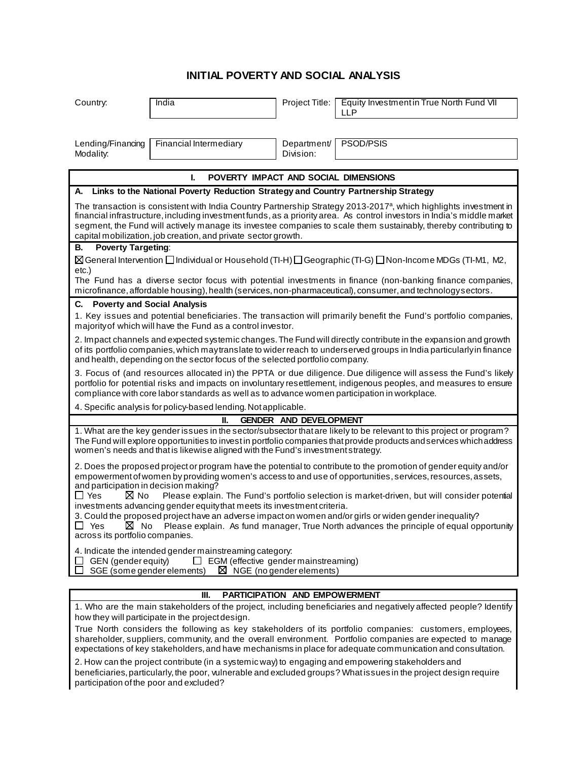## **INITIAL POVERTY AND SOCIAL ANALYSIS**

| Country:                                                                                                                                                                                                                                                                                                                                                                                                                                       | India                  | Project Title:           | Equity Investment in True North Fund VII<br><b>LLP</b> |
|------------------------------------------------------------------------------------------------------------------------------------------------------------------------------------------------------------------------------------------------------------------------------------------------------------------------------------------------------------------------------------------------------------------------------------------------|------------------------|--------------------------|--------------------------------------------------------|
|                                                                                                                                                                                                                                                                                                                                                                                                                                                |                        |                          |                                                        |
| Lending/Financing<br>Modality:                                                                                                                                                                                                                                                                                                                                                                                                                 | Financial Intermediary | Department/<br>Division: | PSOD/PSIS                                              |
| POVERTY IMPACT AND SOCIAL DIMENSIONS<br>L                                                                                                                                                                                                                                                                                                                                                                                                      |                        |                          |                                                        |
| Links to the National Poverty Reduction Strategy and Country Partnership Strategy<br>А.                                                                                                                                                                                                                                                                                                                                                        |                        |                          |                                                        |
| The transaction is consistent with India Country Partnership Strategy 2013-2017 <sup>a</sup> , which highlights investment in<br>financial infrastructure, including investment funds, as a priority area. As control investors in India's middle market<br>segment, the Fund will actively manage its investee companies to scale them sustainably, thereby contributing to<br>capital mobilization, job creation, and private sector growth. |                        |                          |                                                        |
| <b>Poverty Targeting:</b><br>В.                                                                                                                                                                                                                                                                                                                                                                                                                |                        |                          |                                                        |
| $\boxtimes$ General Intervention $\Box$ Individual or Household (TI-H) $\Box$ Geographic (TI-G) $\Box$ Non-Income MDGs (TI-M1, M2,                                                                                                                                                                                                                                                                                                             |                        |                          |                                                        |
| etc.)<br>The Fund has a diverse sector focus with potential investments in finance (non-banking finance companies,<br>microfinance, affordable housing), health (services, non-pharmaceutical), consumer, and technology sectors.                                                                                                                                                                                                              |                        |                          |                                                        |
| C.<br><b>Poverty and Social Analysis</b>                                                                                                                                                                                                                                                                                                                                                                                                       |                        |                          |                                                        |
| 1. Key issues and potential beneficiaries. The transaction will primarily benefit the Fund's portfolio companies,<br>majority of which will have the Fund as a control investor.                                                                                                                                                                                                                                                               |                        |                          |                                                        |
| 2. Impact channels and expected systemic changes. The Fund will directly contribute in the expansion and growth<br>of its portfolio companies, which may translate to wider reach to underserved groups in India particularly in finance<br>and health, depending on the sector focus of the selected portfolio company.                                                                                                                       |                        |                          |                                                        |
| 3. Focus of (and resources allocated in) the PPTA or due diligence. Due diligence will assess the Fund's likely<br>portfolio for potential risks and impacts on involuntary resettlement, indigenous peoples, and measures to ensure<br>compliance with core labor standards as well as to advance women participation in workplace.                                                                                                           |                        |                          |                                                        |
| 4. Specific analysis for policy-based lending. Not applicable.                                                                                                                                                                                                                                                                                                                                                                                 |                        |                          |                                                        |
| <b>GENDER AND DEVELOPMENT</b><br>II.                                                                                                                                                                                                                                                                                                                                                                                                           |                        |                          |                                                        |
| 1. What are the key gender issues in the sector/subsector that are likely to be relevant to this project or program?<br>The Fund will explore opportunities to invest in portfolio companies that provide products and services which address<br>women's needs and that is likewise aligned with the Fund's investment strategy.                                                                                                               |                        |                          |                                                        |
| 2. Does the proposed project or program have the potential to contribute to the promotion of gender equity and/or<br>empowerment of women by providing women's access to and use of opportunities, services, resources, assets,<br>and participation in decision making?                                                                                                                                                                       |                        |                          |                                                        |
| $\Box$ Yes<br>$\boxtimes$ No<br>Please explain. The Fund's portfolio selection is market-driven, but will consider potential<br>investments advancing gender equity that meets its investment criteria.                                                                                                                                                                                                                                        |                        |                          |                                                        |
| 3. Could the proposed project have an adverse impact on women and/or girls or widen gender inequality?<br>□ Yes<br>Please explain. As fund manager, True North advances the principle of equal opportunity<br>M No<br>across its portfolio companies.                                                                                                                                                                                          |                        |                          |                                                        |
| 4. Indicate the intended gender mainstreaming category:<br>GEN (gender equity)<br>$\Box$ EGM (effective gender mainstreaming)<br>SGE (some gender elements)<br>$\boxtimes$ NGE (no gender elements)                                                                                                                                                                                                                                            |                        |                          |                                                        |
|                                                                                                                                                                                                                                                                                                                                                                                                                                                |                        |                          |                                                        |

## **III. PARTICIPATION AND EMPOWERMENT**

1. Who are the main stakeholders of the project, including beneficiaries and negatively affected people? Identify how they will participate in the project design.

True North considers the following as key stakeholders of its portfolio companies: customers, employees, shareholder, suppliers, community, and the overall environment. Portfolio companies are expected to manage expectations of key stakeholders, and have mechanisms in place for adequate communication and consultation.

2. How can the project contribute (in a systemic way) to engaging and empowering stakeholders and beneficiaries, particularly, the poor, vulnerable and excluded groups? What issues in the project design require participation of the poor and excluded?